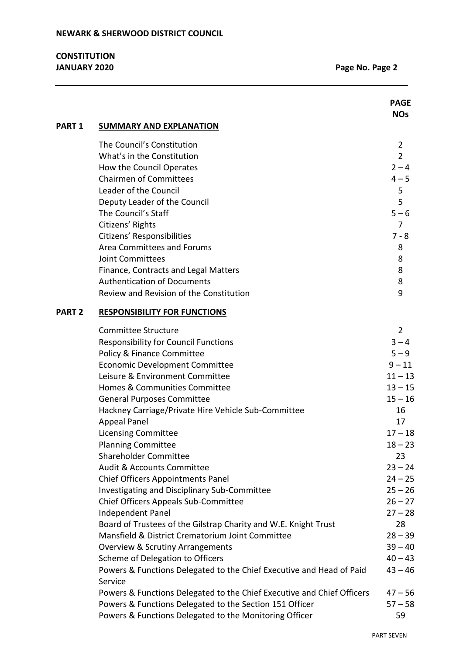|               |                                                                                 | <b>PAGE</b><br><b>NOs</b> |
|---------------|---------------------------------------------------------------------------------|---------------------------|
| <b>PART 1</b> | <b>SUMMARY AND EXPLANATION</b>                                                  |                           |
|               | The Council's Constitution                                                      | $\overline{2}$            |
|               | What's in the Constitution                                                      | $\overline{2}$            |
|               | How the Council Operates                                                        | $2 - 4$                   |
|               | <b>Chairmen of Committees</b>                                                   | $4 - 5$                   |
|               | Leader of the Council                                                           | 5                         |
|               | Deputy Leader of the Council                                                    | 5                         |
|               | The Council's Staff                                                             | $5 - 6$                   |
|               | Citizens' Rights                                                                | 7                         |
|               | Citizens' Responsibilities                                                      | $7 - 8$                   |
|               | Area Committees and Forums                                                      | 8                         |
|               | <b>Joint Committees</b>                                                         | 8                         |
|               | Finance, Contracts and Legal Matters                                            | 8                         |
|               | <b>Authentication of Documents</b>                                              | 8                         |
|               | Review and Revision of the Constitution                                         | 9                         |
| <b>PART 2</b> | <b>RESPONSIBILITY FOR FUNCTIONS</b>                                             |                           |
|               | Committee Structure                                                             | $\overline{2}$            |
|               | <b>Responsibility for Council Functions</b>                                     | $3 - 4$                   |
|               | Policy & Finance Committee                                                      | $5 - 9$                   |
|               | <b>Economic Development Committee</b>                                           | $9 - 11$                  |
|               | Leisure & Environment Committee                                                 | $11 - 13$                 |
|               | Homes & Communities Committee                                                   | $13 - 15$                 |
|               | <b>General Purposes Committee</b>                                               | $15 - 16$                 |
|               | Hackney Carriage/Private Hire Vehicle Sub-Committee                             | 16                        |
|               | <b>Appeal Panel</b>                                                             | 17                        |
|               | <b>Licensing Committee</b>                                                      | $17 - 18$                 |
|               | <b>Planning Committee</b>                                                       | $18 - 23$                 |
|               | <b>Shareholder Committee</b>                                                    | 23                        |
|               | <b>Audit &amp; Accounts Committee</b>                                           | $23 - 24$                 |
|               | <b>Chief Officers Appointments Panel</b>                                        | $24 - 25$                 |
|               | Investigating and Disciplinary Sub-Committee                                    | $25 - 26$                 |
|               | Chief Officers Appeals Sub-Committee                                            | $26 - 27$                 |
|               | Independent Panel                                                               | $27 - 28$                 |
|               | Board of Trustees of the Gilstrap Charity and W.E. Knight Trust                 | 28                        |
|               | Mansfield & District Crematorium Joint Committee                                | $28 - 39$                 |
|               | <b>Overview &amp; Scrutiny Arrangements</b>                                     | $39 - 40$                 |
|               | Scheme of Delegation to Officers                                                | $40 - 43$                 |
|               | Powers & Functions Delegated to the Chief Executive and Head of Paid<br>Service | $43 - 46$                 |
|               | Powers & Functions Delegated to the Chief Executive and Chief Officers          | $47 - 56$                 |
|               | Powers & Functions Delegated to the Section 151 Officer                         | $57 - 58$                 |
|               | Powers & Functions Delegated to the Monitoring Officer                          | 59                        |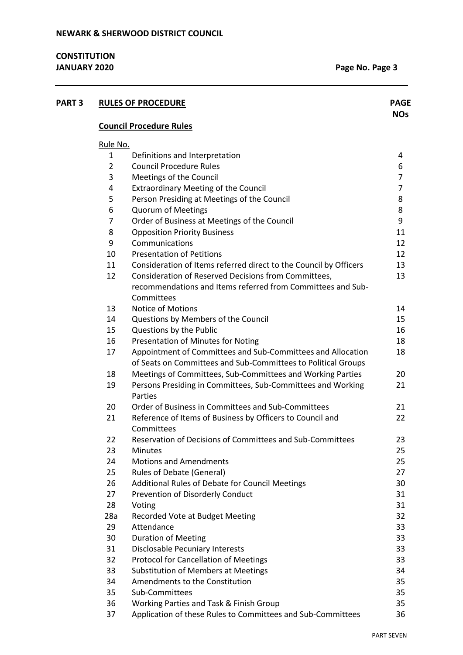| <b>PART 3</b> |                | <b>RULES OF PROCEDURE</b>                                               | <b>PAGE</b><br><b>NOs</b> |
|---------------|----------------|-------------------------------------------------------------------------|---------------------------|
|               |                | <b>Council Procedure Rules</b>                                          |                           |
|               | Rule No.       |                                                                         |                           |
|               | 1              | Definitions and Interpretation                                          | 4                         |
|               | $\overline{2}$ | <b>Council Procedure Rules</b>                                          | 6                         |
|               | 3              | Meetings of the Council                                                 | $\overline{7}$            |
|               | 4              | <b>Extraordinary Meeting of the Council</b>                             | $\overline{7}$            |
|               | 5              | Person Presiding at Meetings of the Council                             | 8                         |
|               | 6              | <b>Quorum of Meetings</b>                                               | 8                         |
|               | 7              | Order of Business at Meetings of the Council                            | 9                         |
|               | 8              | <b>Opposition Priority Business</b>                                     | 11                        |
|               | 9              | Communications                                                          | 12                        |
|               | 10             | <b>Presentation of Petitions</b>                                        | 12                        |
|               | 11             | Consideration of Items referred direct to the Council by Officers       | 13                        |
|               | 12             | Consideration of Reserved Decisions from Committees,                    | 13                        |
|               |                | recommendations and Items referred from Committees and Sub-             |                           |
|               |                | Committees                                                              |                           |
|               | 13             | <b>Notice of Motions</b>                                                | 14                        |
|               | 14             | Questions by Members of the Council                                     | 15                        |
|               | 15             | Questions by the Public                                                 | 16                        |
|               | 16             | Presentation of Minutes for Noting                                      | 18                        |
|               | 17             | Appointment of Committees and Sub-Committees and Allocation             | 18                        |
|               |                | of Seats on Committees and Sub-Committees to Political Groups           |                           |
|               | 18             | Meetings of Committees, Sub-Committees and Working Parties              | 20                        |
|               | 19             | Persons Presiding in Committees, Sub-Committees and Working<br>Parties  | 21                        |
|               | 20             | Order of Business in Committees and Sub-Committees                      | 21                        |
|               | 21             | Reference of Items of Business by Officers to Council and<br>Committees | 22                        |
|               | 22             | Reservation of Decisions of Committees and Sub-Committees               | 23                        |
|               | 23             | <b>Minutes</b>                                                          | 25                        |
|               | 24             | <b>Motions and Amendments</b>                                           | 25                        |
|               | 25             | Rules of Debate (General)                                               | 27                        |
|               | 26             | Additional Rules of Debate for Council Meetings                         | 30                        |
|               | 27             | Prevention of Disorderly Conduct                                        | 31                        |
|               | 28             | Voting                                                                  | 31                        |
|               | 28a            | Recorded Vote at Budget Meeting                                         | 32                        |
|               | 29             | Attendance                                                              | 33                        |
|               | 30             | <b>Duration of Meeting</b>                                              | 33                        |
|               | 31             | <b>Disclosable Pecuniary Interests</b>                                  | 33                        |
|               | 32             | <b>Protocol for Cancellation of Meetings</b>                            | 33                        |
|               | 33             | <b>Substitution of Members at Meetings</b>                              | 34                        |
|               | 34             | Amendments to the Constitution                                          | 35                        |
|               | 35             | Sub-Committees                                                          | 35                        |
|               | 36             | Working Parties and Task & Finish Group                                 | 35                        |
|               | 37             | Application of these Rules to Committees and Sub-Committees             | 36                        |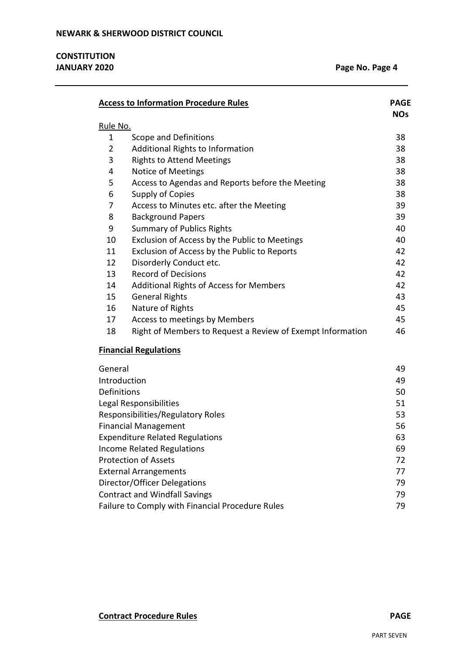|          | <b>Access to Information Procedure Rules</b>               | <b>PAGE</b><br><b>NOs</b> |
|----------|------------------------------------------------------------|---------------------------|
| Rule No. |                                                            |                           |
| 1        | Scope and Definitions                                      | 38                        |
| 2        | Additional Rights to Information                           | 38                        |
| 3        | <b>Rights to Attend Meetings</b>                           | 38                        |
| 4        | Notice of Meetings                                         | 38                        |
| 5        | Access to Agendas and Reports before the Meeting           | 38                        |
| 6        | Supply of Copies                                           | 38                        |
| 7        | Access to Minutes etc. after the Meeting                   | 39                        |
| 8        | <b>Background Papers</b>                                   | 39                        |
| 9        | <b>Summary of Publics Rights</b>                           | 40                        |
| 10       | Exclusion of Access by the Public to Meetings              | 40                        |
| 11       | Exclusion of Access by the Public to Reports               | 42                        |
| 12       | Disorderly Conduct etc.                                    | 42                        |
| 13       | <b>Record of Decisions</b>                                 | 42                        |
| 14       | <b>Additional Rights of Access for Members</b>             | 42                        |
| 15       | <b>General Rights</b>                                      | 43                        |
| 16       | Nature of Rights                                           | 45                        |
| 17       | Access to meetings by Members                              | 45                        |
| 18       | Right of Members to Request a Review of Exempt Information | 46                        |
|          | <b>Financial Regulations</b>                               |                           |

| General                                          | 49 |
|--------------------------------------------------|----|
| Introduction                                     | 49 |
| Definitions                                      | 50 |
| Legal Responsibilities                           | 51 |
| Responsibilities/Regulatory Roles                | 53 |
| <b>Financial Management</b>                      | 56 |
| <b>Expenditure Related Regulations</b>           | 63 |
| Income Related Regulations                       | 69 |
| <b>Protection of Assets</b>                      | 72 |
| <b>External Arrangements</b>                     | 77 |
| Director/Officer Delegations                     | 79 |
| <b>Contract and Windfall Savings</b>             | 79 |
| Failure to Comply with Financial Procedure Rules | 79 |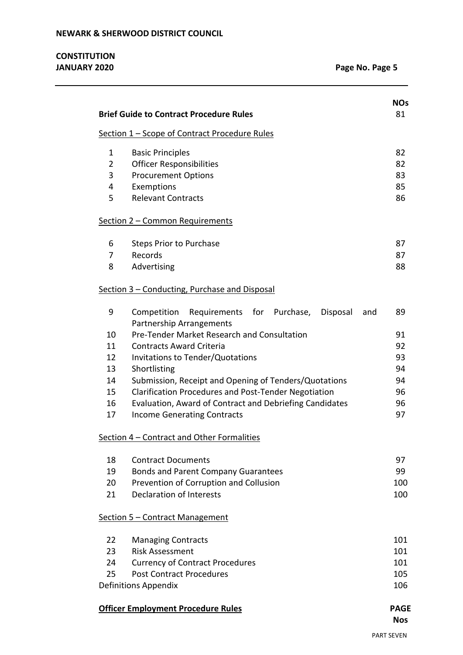|                | <b>Brief Guide to Contract Procedure Rules</b>               |  |
|----------------|--------------------------------------------------------------|--|
|                | Section 1 - Scope of Contract Procedure Rules                |  |
| $\mathbf{1}$   | <b>Basic Principles</b>                                      |  |
| $\overline{2}$ | <b>Officer Responsibilities</b>                              |  |
| 3              | <b>Procurement Options</b>                                   |  |
| 4              | Exemptions                                                   |  |
| 5              | <b>Relevant Contracts</b>                                    |  |
|                | Section 2 - Common Requirements                              |  |
| 6              | <b>Steps Prior to Purchase</b>                               |  |
| 7              | Records                                                      |  |
| 8              | Advertising                                                  |  |
|                | Section 3 - Conducting, Purchase and Disposal                |  |
| 9              | Requirements for Purchase,<br>Competition<br>Disposal<br>and |  |
|                | Partnership Arrangements                                     |  |
| 10             | Pre-Tender Market Research and Consultation                  |  |
| 11             | <b>Contracts Award Criteria</b>                              |  |
| 12             | Invitations to Tender/Quotations                             |  |
| 13             | Shortlisting                                                 |  |
| 14             | Submission, Receipt and Opening of Tenders/Quotations        |  |
| 15             | <b>Clarification Procedures and Post-Tender Negotiation</b>  |  |
| 16             | Evaluation, Award of Contract and Debriefing Candidates      |  |
| 17             | <b>Income Generating Contracts</b>                           |  |
|                | Section 4 - Contract and Other Formalities                   |  |
| 18             | <b>Contract Documents</b>                                    |  |
| 19             | Bonds and Parent Company Guarantees                          |  |
| 20             | Prevention of Corruption and Collusion                       |  |
| 21             | <b>Declaration of Interests</b>                              |  |
|                | Section 5 – Contract Management                              |  |
| 22             | <b>Managing Contracts</b>                                    |  |
| 23             | <b>Risk Assessment</b>                                       |  |
| 24             | <b>Currency of Contract Procedures</b>                       |  |
| 25             | <b>Post Contract Procedures</b>                              |  |
|                | Definitions Appendix                                         |  |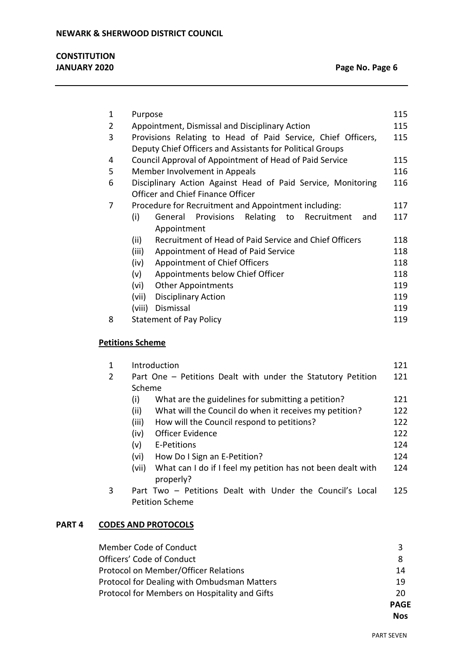| <b>CONSTITUTION</b> |  |
|---------------------|--|
| <b>JANUARY 2020</b> |  |

| 1 | Purpose                                                        | 115 |
|---|----------------------------------------------------------------|-----|
| 2 | Appointment, Dismissal and Disciplinary Action                 | 115 |
| 3 | Provisions Relating to Head of Paid Service, Chief Officers,   | 115 |
|   | Deputy Chief Officers and Assistants for Political Groups      |     |
| 4 | Council Approval of Appointment of Head of Paid Service        | 115 |
| 5 | Member Involvement in Appeals                                  | 116 |
| 6 | Disciplinary Action Against Head of Paid Service, Monitoring   | 116 |
|   | Officer and Chief Finance Officer                              |     |
| 7 | Procedure for Recruitment and Appointment including:           | 117 |
|   | (i)<br>Provisions Relating<br>to Recruitment<br>General<br>and | 117 |
|   | Appointment                                                    |     |
|   | Recruitment of Head of Paid Service and Chief Officers<br>(ii) | 118 |
|   | (iii)<br>Appointment of Head of Paid Service                   | 118 |
|   | (iv)<br>Appointment of Chief Officers                          | 118 |
|   | Appointments below Chief Officer<br>(v)                        | 118 |
|   | <b>Other Appointments</b><br>(vi)                              | 119 |
|   | <b>Disciplinary Action</b><br>(vii)                            | 119 |
|   | (viii)<br>Dismissal                                            | 119 |
| 8 | <b>Statement of Pay Policy</b>                                 | 119 |
|   |                                                                |     |

# **Petitions Scheme**

| 1 | Introduction                                                                        | 121 |
|---|-------------------------------------------------------------------------------------|-----|
| 2 | Part One - Petitions Dealt with under the Statutory Petition                        | 121 |
|   | Scheme                                                                              |     |
|   | What are the guidelines for submitting a petition?<br>(i)                           | 121 |
|   | (ii)<br>What will the Council do when it receives my petition?                      | 122 |
|   | (iii)<br>How will the Council respond to petitions?                                 | 122 |
|   | <b>Officer Evidence</b><br>(iv)                                                     | 122 |
|   | (v)<br>E-Petitions                                                                  | 124 |
|   | How Do I Sign an E-Petition?<br>(vi)                                                | 124 |
|   | What can I do if I feel my petition has not been dealt with<br>(vii)<br>properly?   | 124 |
| 3 | Part Two - Petitions Dealt with Under the Council's Local<br><b>Petition Scheme</b> | 125 |

# **PART 4 CODES AND PROTOCOLS**

|                                               | <b>PAGF</b> |
|-----------------------------------------------|-------------|
| Protocol for Members on Hospitality and Gifts | 20          |
| Protocol for Dealing with Ombudsman Matters   | 19          |
| Protocol on Member/Officer Relations          | 14          |
| Officers' Code of Conduct                     | 8           |
| Member Code of Conduct                        | 3           |

**Nos**